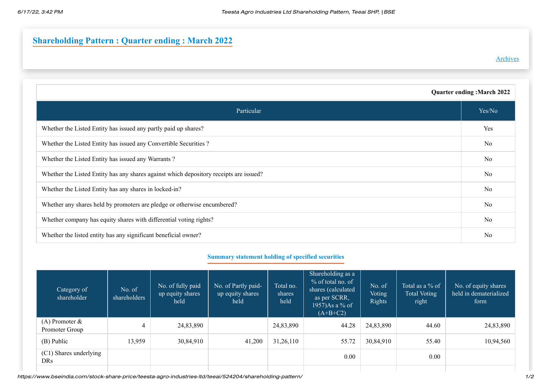## **Shareholding Pattern : Quarter ending : March 2022**

## [Archives](https://www.bseindia.com/stock-share-price/shp/scripcode/524204/flag/7/)

| <b>Quarter ending: March 2022</b>                                                      |                |  |  |
|----------------------------------------------------------------------------------------|----------------|--|--|
| Particular                                                                             | Yes/No         |  |  |
| Whether the Listed Entity has issued any partly paid up shares?                        | Yes            |  |  |
| Whether the Listed Entity has issued any Convertible Securities?                       | N <sub>o</sub> |  |  |
| Whether the Listed Entity has issued any Warrants?                                     | N <sub>o</sub> |  |  |
| Whether the Listed Entity has any shares against which depository receipts are issued? | N <sub>o</sub> |  |  |
| Whether the Listed Entity has any shares in locked-in?                                 | N <sub>o</sub> |  |  |
| Whether any shares held by promoters are pledge or otherwise encumbered?               | No             |  |  |
| Whether company has equity shares with differential voting rights?                     | N <sub>o</sub> |  |  |
| Whether the listed entity has any significant beneficial owner?                        | No             |  |  |

## **Summary statement holding of specified securities**

| Category of<br>shareholder            | No. of<br>shareholders | No. of fully paid<br>up equity shares<br>held | No. of Partly paid-<br>up equity shares<br>held | Total no.<br>shares<br>held | Shareholding as a<br>% of total no. of<br>shares (calculated<br>as per SCRR,<br>$1957$ )As a % of<br>$(A+B+C2)$ | No. of<br><b>Voting</b><br><b>Rights</b> | Total as a % of<br>Total Voting<br>right | No. of equity shares<br>held in dematerialized<br>form |
|---------------------------------------|------------------------|-----------------------------------------------|-------------------------------------------------|-----------------------------|-----------------------------------------------------------------------------------------------------------------|------------------------------------------|------------------------------------------|--------------------------------------------------------|
| $(A)$ Promoter $\&$<br>Promoter Group | 4                      | 24,83,890                                     |                                                 | 24,83,890                   | 44.28                                                                                                           | 24,83,890                                | 44.60                                    | 24,83,890                                              |
| (B) Public                            | 13,959                 | 30,84,910                                     | 41,200                                          | 31,26,110                   | 55.72                                                                                                           | 30,84,910                                | 55.40                                    | 10,94,560                                              |
| (C1) Shares underlying<br>DRs         |                        |                                               |                                                 |                             | 0.00                                                                                                            |                                          | 0.00                                     |                                                        |

https://www.bseindia.com/stock-share-price/teesta-agro-industries-ltd/teeai/524204/shareholding-pattern/ 1/2